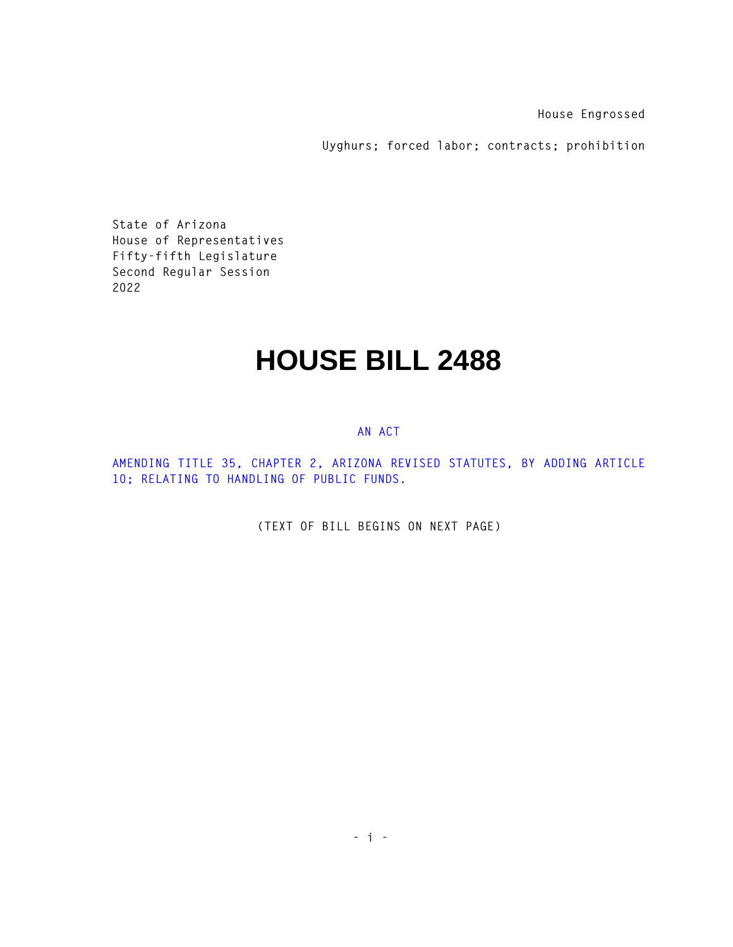**House Engrossed** 

**Uyghurs; forced labor; contracts; prohibition** 

**State of Arizona House of Representatives Fifty-fifth Legislature Second Regular Session 2022** 

## **HOUSE BILL 2488**

## **AN ACT**

**AMENDING TITLE 35, CHAPTER 2, ARIZONA REVISED STATUTES, BY ADDING ARTICLE 10; RELATING TO HANDLING OF PUBLIC FUNDS.** 

**(TEXT OF BILL BEGINS ON NEXT PAGE)**